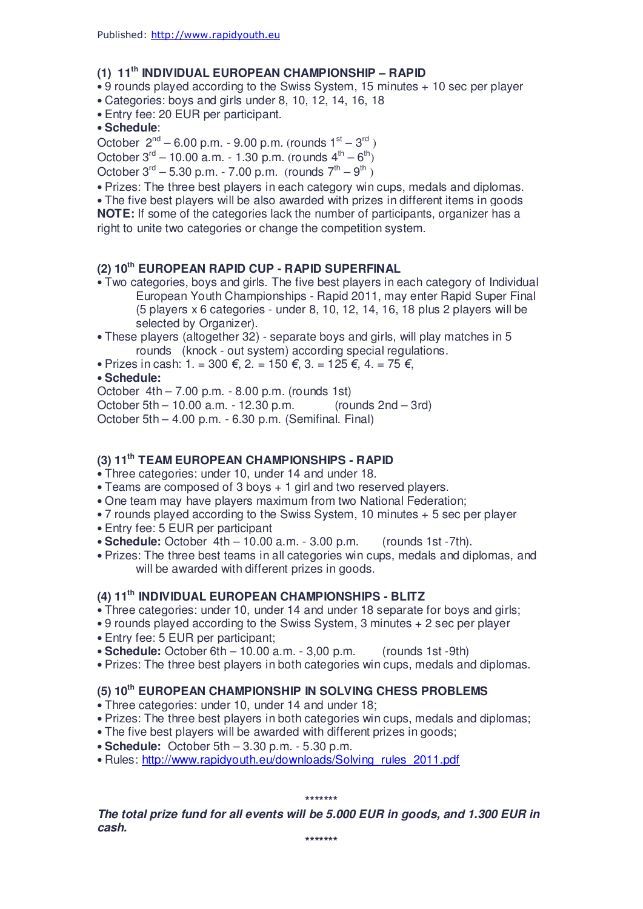# **(1) 11th INDIVIDUAL EUROPEAN CHAMPIONSHIP – RAPID**

• 9 rounds played according to the Swiss System, 15 minutes + 10 sec per player

- Categories: boys and girls under 8, 10, 12, 14, 16, 18
- Entry fee: 20 EUR per participant.

• **Schedule**:

October  $2^{nd}$  – 6.00 p.m. - 9.00 p.m. (rounds  $1^{st}$  –  $3^{rd}$  )

October  $3^{rd}$  – 10.00 a.m. - 1.30 p.m. (rounds  $4^{th}$  –  $6^{th}$ )

October  $3^{rd}$  – 5.30 p.m. - 7.00 p.m. (rounds  $7^{th}$  –  $9^{th}$ )

• Prizes: The three best players in each category win cups, medals and diplomas.

• The five best players will be also awarded with prizes in different items in goods **NOTE:** If some of the categories lack the number of participants, organizer has a right to unite two categories or change the competition system.

# **(2) 10th EUROPEAN RAPID CUP - RAPID SUPERFINAL**

• Two categories, boys and girls. The five best players in each category of Individual European Youth Championships - Rapid 2011, may enter Rapid Super Final (5 players x 6 categories - under 8, 10, 12, 14, 16, 18 plus 2 players will be selected by Organizer).

- These players (altogether 32) separate boys and girls, will play matches in 5 rounds (knock - out system) according special regulations.
- Prizes in cash: 1. = 300 *€*, 2. = 150 *€*, 3. = 125 *€*, 4. = 75 *€*,

#### • **Schedule:**

October 4th – 7.00 p.m. - 8.00 p.m. (rounds 1st)

October 5th – 10.00 a.m. - 12.30 p.m. (rounds 2nd – 3rd)

October 5th – 4.00 p.m. - 6.30 p.m. (Semifinal. Final)

# **(3) 11th TEAM EUROPEAN CHAMPIONSHIPS - RAPID**

• Three categories: under 10, under 14 and under 18.

- Teams are composed of 3 boys + 1 girl and two reserved players.
- One team may have players maximum from two National Federation;
- 7 rounds played according to the Swiss System, 10 minutes + 5 sec per player
- Entry fee: 5 EUR per participant
- **Schedule:** October 4th 10.00 a.m. 3.00 p.m. (rounds 1st -7th).
- Prizes: The three best teams in all categories win cups, medals and diplomas, and will be awarded with different prizes in goods.

#### **(4) 11th INDIVIDUAL EUROPEAN CHAMPIONSHIPS - BLITZ**

- Three categories: under 10, under 14 and under 18 separate for boys and girls;
- 9 rounds played according to the Swiss System, 3 minutes + 2 sec per player
- Entry fee: 5 EUR per participant;
- **Schedule:** October 6th 10.00 a.m. 3,00 p.m. (rounds 1st -9th)
- Prizes: The three best players in both categories win cups, medals and diplomas.

## **(5) 10th EUROPEAN CHAMPIONSHIP IN SOLVING CHESS PROBLEMS**

- Three categories: under 10, under 14 and under 18;
- Prizes: The three best players in both categories win cups, medals and diplomas;
- The five best players will be awarded with different prizes in goods;
- **Schedule:** October 5th 3.30 p.m. 5.30 p.m.
- Rules: http://www.rapidyouth.eu/downloads/Solving\_rules\_2011.pdf

**\*\*\*\*\*\*\***

**The total prize fund for all events will be 5.000 EUR in goods, and 1.300 EUR in cash.**